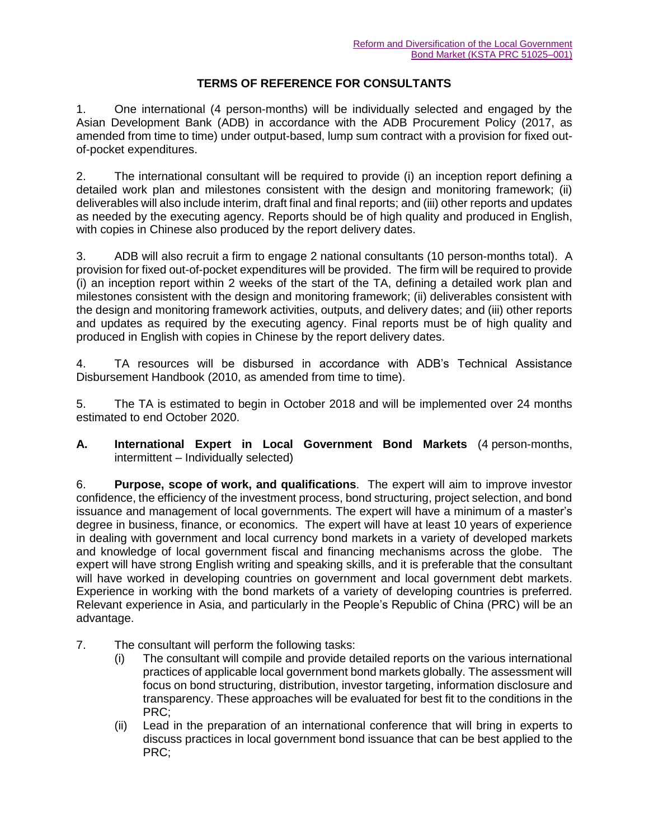## **TERMS OF REFERENCE FOR CONSULTANTS**

1. One international (4 person-months) will be individually selected and engaged by the Asian Development Bank (ADB) in accordance with the ADB Procurement Policy (2017, as amended from time to time) under output-based, lump sum contract with a provision for fixed outof-pocket expenditures.

2. The international consultant will be required to provide (i) an inception report defining a detailed work plan and milestones consistent with the design and monitoring framework; (ii) deliverables will also include interim, draft final and final reports; and (iii) other reports and updates as needed by the executing agency. Reports should be of high quality and produced in English, with copies in Chinese also produced by the report delivery dates.

3. ADB will also recruit a firm to engage 2 national consultants (10 person-months total). A provision for fixed out-of-pocket expenditures will be provided. The firm will be required to provide (i) an inception report within 2 weeks of the start of the TA, defining a detailed work plan and milestones consistent with the design and monitoring framework; (ii) deliverables consistent with the design and monitoring framework activities, outputs, and delivery dates; and (iii) other reports and updates as required by the executing agency. Final reports must be of high quality and produced in English with copies in Chinese by the report delivery dates.

4. TA resources will be disbursed in accordance with ADB's Technical Assistance Disbursement Handbook (2010, as amended from time to time).

5. The TA is estimated to begin in October 2018 and will be implemented over 24 months estimated to end October 2020.

**A. International Expert in Local Government Bond Markets** (4 person-months, intermittent – Individually selected)

6. **Purpose, scope of work, and qualifications**. The expert will aim to improve investor confidence, the efficiency of the investment process, bond structuring, project selection, and bond issuance and management of local governments. The expert will have a minimum of a master's degree in business, finance, or economics. The expert will have at least 10 years of experience in dealing with government and local currency bond markets in a variety of developed markets and knowledge of local government fiscal and financing mechanisms across the globe. The expert will have strong English writing and speaking skills, and it is preferable that the consultant will have worked in developing countries on government and local government debt markets. Experience in working with the bond markets of a variety of developing countries is preferred. Relevant experience in Asia, and particularly in the People's Republic of China (PRC) will be an advantage.

- 7. The consultant will perform the following tasks:
	- (i) The consultant will compile and provide detailed reports on the various international practices of applicable local government bond markets globally. The assessment will focus on bond structuring, distribution, investor targeting, information disclosure and transparency. These approaches will be evaluated for best fit to the conditions in the PRC;
	- (ii) Lead in the preparation of an international conference that will bring in experts to discuss practices in local government bond issuance that can be best applied to the PRC;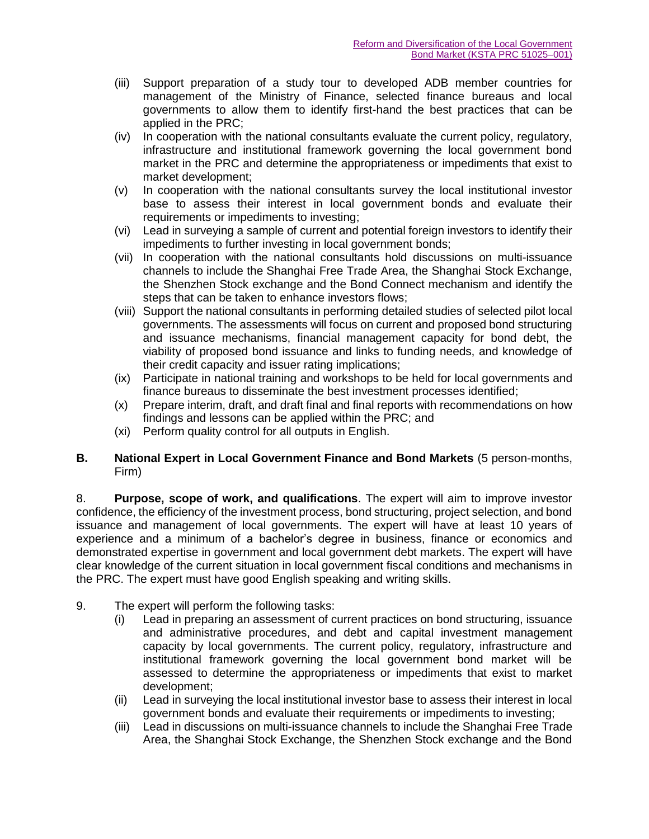- (iii) Support preparation of a study tour to developed ADB member countries for management of the Ministry of Finance, selected finance bureaus and local governments to allow them to identify first-hand the best practices that can be applied in the PRC;
- (iv) In cooperation with the national consultants evaluate the current policy, regulatory, infrastructure and institutional framework governing the local government bond market in the PRC and determine the appropriateness or impediments that exist to market development;
- (v) In cooperation with the national consultants survey the local institutional investor base to assess their interest in local government bonds and evaluate their requirements or impediments to investing;
- (vi) Lead in surveying a sample of current and potential foreign investors to identify their impediments to further investing in local government bonds;
- (vii) In cooperation with the national consultants hold discussions on multi-issuance channels to include the Shanghai Free Trade Area, the Shanghai Stock Exchange, the Shenzhen Stock exchange and the Bond Connect mechanism and identify the steps that can be taken to enhance investors flows;
- (viii) Support the national consultants in performing detailed studies of selected pilot local governments. The assessments will focus on current and proposed bond structuring and issuance mechanisms, financial management capacity for bond debt, the viability of proposed bond issuance and links to funding needs, and knowledge of their credit capacity and issuer rating implications;
- (ix) Participate in national training and workshops to be held for local governments and finance bureaus to disseminate the best investment processes identified;
- (x) Prepare interim, draft, and draft final and final reports with recommendations on how findings and lessons can be applied within the PRC; and
- (xi) Perform quality control for all outputs in English.

## **B. National Expert in Local Government Finance and Bond Markets** (5 person-months, Firm)

8. **Purpose, scope of work, and qualifications**. The expert will aim to improve investor confidence, the efficiency of the investment process, bond structuring, project selection, and bond issuance and management of local governments. The expert will have at least 10 years of experience and a minimum of a bachelor's degree in business, finance or economics and demonstrated expertise in government and local government debt markets. The expert will have clear knowledge of the current situation in local government fiscal conditions and mechanisms in the PRC. The expert must have good English speaking and writing skills.

- 9. The expert will perform the following tasks:
	- (i) Lead in preparing an assessment of current practices on bond structuring, issuance and administrative procedures, and debt and capital investment management capacity by local governments. The current policy, regulatory, infrastructure and institutional framework governing the local government bond market will be assessed to determine the appropriateness or impediments that exist to market development;
	- (ii) Lead in surveying the local institutional investor base to assess their interest in local government bonds and evaluate their requirements or impediments to investing;
	- (iii) Lead in discussions on multi-issuance channels to include the Shanghai Free Trade Area, the Shanghai Stock Exchange, the Shenzhen Stock exchange and the Bond